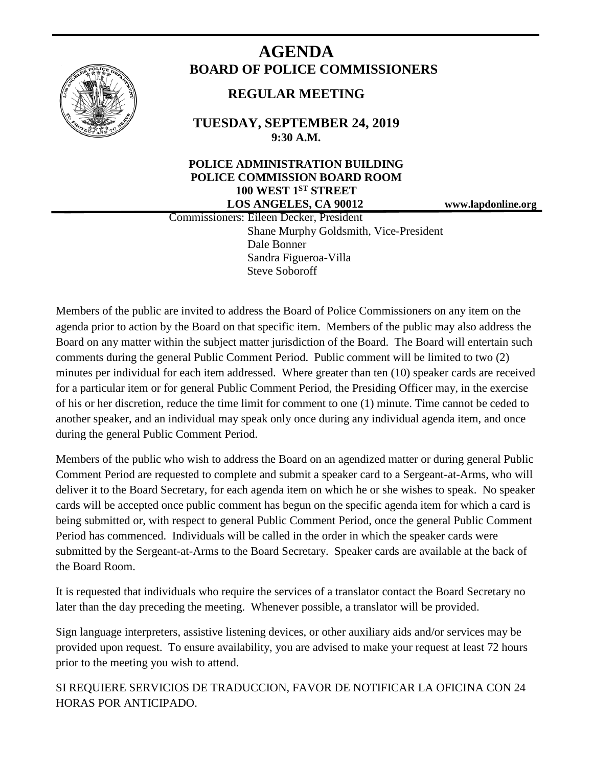

# **AGENDA BOARD OF POLICE COMMISSIONERS**

## **REGULAR MEETING**

**TUESDAY, SEPTEMBER 24, 2019 9:30 A.M.**

### **POLICE ADMINISTRATION BUILDING POLICE COMMISSION BOARD ROOM 100 WEST 1ST STREET LOS ANGELES, CA 90012 www.lapdonline.org**

 Commissioners: Eileen Decker, President Shane Murphy Goldsmith, Vice-President Dale Bonner Sandra Figueroa-Villa Steve Soboroff

Members of the public are invited to address the Board of Police Commissioners on any item on the agenda prior to action by the Board on that specific item. Members of the public may also address the Board on any matter within the subject matter jurisdiction of the Board. The Board will entertain such comments during the general Public Comment Period. Public comment will be limited to two (2) minutes per individual for each item addressed. Where greater than ten (10) speaker cards are received for a particular item or for general Public Comment Period, the Presiding Officer may, in the exercise of his or her discretion, reduce the time limit for comment to one (1) minute. Time cannot be ceded to another speaker, and an individual may speak only once during any individual agenda item, and once during the general Public Comment Period.

Members of the public who wish to address the Board on an agendized matter or during general Public Comment Period are requested to complete and submit a speaker card to a Sergeant-at-Arms, who will deliver it to the Board Secretary, for each agenda item on which he or she wishes to speak. No speaker cards will be accepted once public comment has begun on the specific agenda item for which a card is being submitted or, with respect to general Public Comment Period, once the general Public Comment Period has commenced. Individuals will be called in the order in which the speaker cards were submitted by the Sergeant-at-Arms to the Board Secretary. Speaker cards are available at the back of the Board Room.

It is requested that individuals who require the services of a translator contact the Board Secretary no later than the day preceding the meeting. Whenever possible, a translator will be provided.

Sign language interpreters, assistive listening devices, or other auxiliary aids and/or services may be provided upon request. To ensure availability, you are advised to make your request at least 72 hours prior to the meeting you wish to attend.

SI REQUIERE SERVICIOS DE TRADUCCION, FAVOR DE NOTIFICAR LA OFICINA CON 24 HORAS POR ANTICIPADO.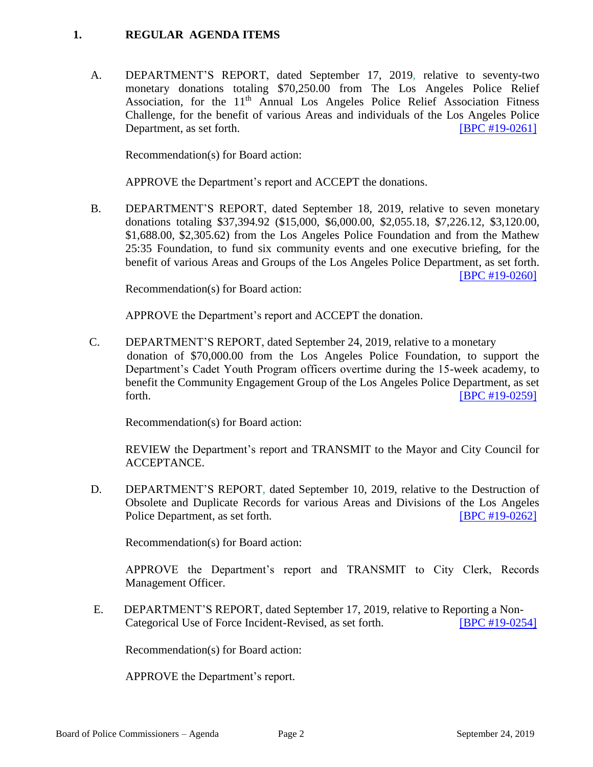#### **1. REGULAR AGENDA ITEMS**

A. DEPARTMENT'S REPORT, dated September 17, 2019, relative to seventy-two monetary donations totaling \$70,250.00 from The Los Angeles Police Relief Association, for the  $11<sup>th</sup>$  Annual Los Angeles Police Relief Association Fitness Challenge, for the benefit of various Areas and individuals of the Los Angeles Police Department, as set forth. **IBPC #19-0261** 

Recommendation(s) for Board action:

APPROVE the Department's report and ACCEPT the donations.

B. DEPARTMENT'S REPORT, dated September 18, 2019, relative to seven monetary donations totaling \$37,394.92 (\$15,000, \$6,000.00, \$2,055.18, \$7,226.12, \$3,120.00, \$1,688.00, \$2,305.62) from the Los Angeles Police Foundation and from the Mathew 25:35 Foundation, to fund six community events and one executive briefing, for the benefit of various Areas and Groups of the Los Angeles Police Department, as set forth. [\[BPC #19-0260\]](http://www.lapdpolicecom.lacity.org/092419/BPC_19-0260.pdf)

Recommendation(s) for Board action:

APPROVE the Department's report and ACCEPT the donation.

C. DEPARTMENT'S REPORT, dated September 24, 2019, relative to a monetary donation of \$70,000.00 from the Los Angeles Police Foundation, to support the Department's Cadet Youth Program officers overtime during the 15-week academy, to benefit the Community Engagement Group of the Los Angeles Police Department, as set forth. **IBPC** #19-0259]

Recommendation(s) for Board action:

REVIEW the Department's report and TRANSMIT to the Mayor and City Council for ACCEPTANCE.

D. DEPARTMENT'S REPORT, dated September 10, 2019, relative to the Destruction of Obsolete and Duplicate Records for various Areas and Divisions of the Los Angeles Police Department, as set forth. **IBPC #19-0262** 

Recommendation(s) for Board action:

APPROVE the Department's report and TRANSMIT to City Clerk, Records Management Officer.

 E. DEPARTMENT'S REPORT, dated September 17, 2019, relative to Reporting a Non-Categorical Use of Force Incident-Revised, as set forth. **IBPC #19-0254** 

Recommendation(s) for Board action:

APPROVE the Department's report.